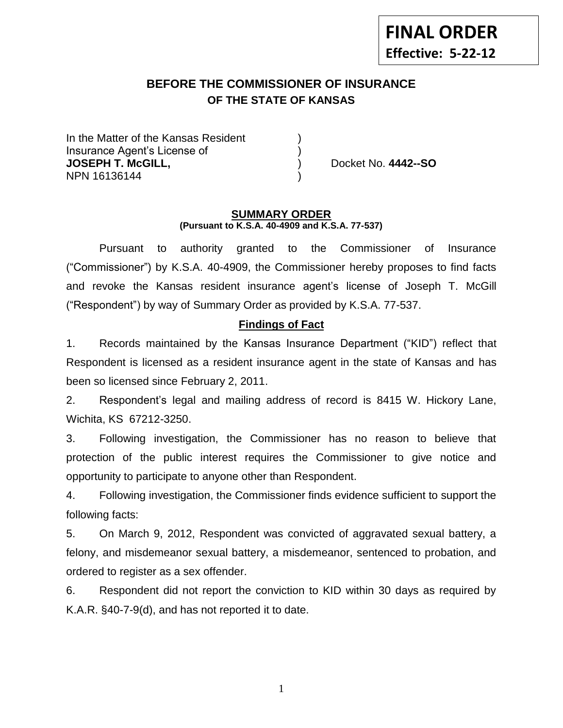**FINAL ORDER Effective: 5-22-12**

# **BEFORE THE COMMISSIONER OF INSURANCE OF THE STATE OF KANSAS**

In the Matter of the Kansas Resident Insurance Agent's License of ) **JOSEPH T. McGILL,** ) Docket No. **4442--SO** NPN 16136144 )

#### **SUMMARY ORDER (Pursuant to K.S.A. 40-4909 and K.S.A. 77-537)**

Pursuant to authority granted to the Commissioner of Insurance ("Commissioner") by K.S.A. 40-4909, the Commissioner hereby proposes to find facts and revoke the Kansas resident insurance agent's license of Joseph T. McGill ("Respondent") by way of Summary Order as provided by K.S.A. 77-537.

#### **Findings of Fact**

1. Records maintained by the Kansas Insurance Department ("KID") reflect that Respondent is licensed as a resident insurance agent in the state of Kansas and has been so licensed since February 2, 2011.

2. Respondent's legal and mailing address of record is 8415 W. Hickory Lane, Wichita, KS 67212-3250.

3. Following investigation, the Commissioner has no reason to believe that protection of the public interest requires the Commissioner to give notice and opportunity to participate to anyone other than Respondent.

4. Following investigation, the Commissioner finds evidence sufficient to support the following facts:

5. On March 9, 2012, Respondent was convicted of aggravated sexual battery, a felony, and misdemeanor sexual battery, a misdemeanor, sentenced to probation, and ordered to register as a sex offender.

6. Respondent did not report the conviction to KID within 30 days as required by K.A.R. §40-7-9(d), and has not reported it to date.

1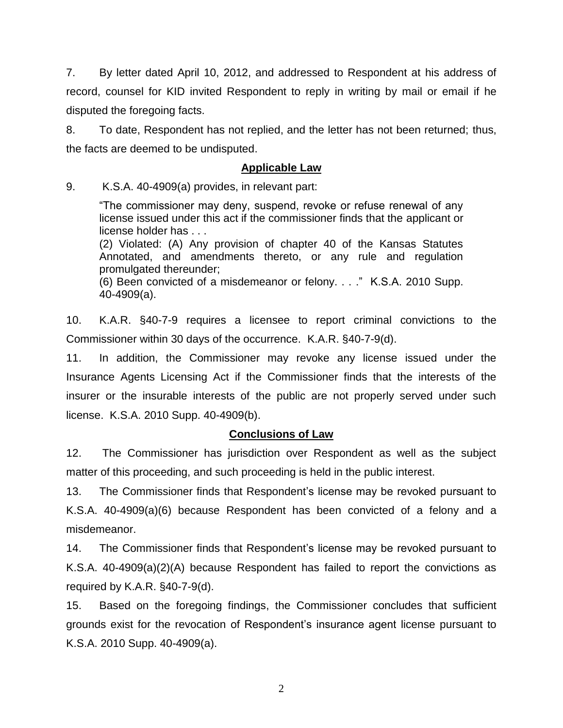7. By letter dated April 10, 2012, and addressed to Respondent at his address of record, counsel for KID invited Respondent to reply in writing by mail or email if he disputed the foregoing facts.

8. To date, Respondent has not replied, and the letter has not been returned; thus, the facts are deemed to be undisputed.

#### **Applicable Law**

9. K.S.A. 40-4909(a) provides, in relevant part:

"The commissioner may deny, suspend, revoke or refuse renewal of any license issued under this act if the commissioner finds that the applicant or license holder has . . .

(2) Violated: (A) Any provision of chapter 40 of the Kansas Statutes Annotated, and amendments thereto, or any rule and regulation promulgated thereunder;

(6) Been convicted of a misdemeanor or felony. . . ." K.S.A. 2010 Supp. 40-4909(a).

10. K.A.R. §40-7-9 requires a licensee to report criminal convictions to the Commissioner within 30 days of the occurrence. K.A.R. §40-7-9(d).

11. In addition, the Commissioner may revoke any license issued under the Insurance Agents Licensing Act if the Commissioner finds that the interests of the insurer or the insurable interests of the public are not properly served under such license. K.S.A. 2010 Supp. 40-4909(b).

#### **Conclusions of Law**

12. The Commissioner has jurisdiction over Respondent as well as the subject matter of this proceeding, and such proceeding is held in the public interest.

13. The Commissioner finds that Respondent's license may be revoked pursuant to K.S.A. 40-4909(a)(6) because Respondent has been convicted of a felony and a misdemeanor.

14. The Commissioner finds that Respondent's license may be revoked pursuant to K.S.A. 40-4909(a)(2)(A) because Respondent has failed to report the convictions as required by K.A.R. §40-7-9(d).

15. Based on the foregoing findings, the Commissioner concludes that sufficient grounds exist for the revocation of Respondent's insurance agent license pursuant to K.S.A. 2010 Supp. 40-4909(a).

2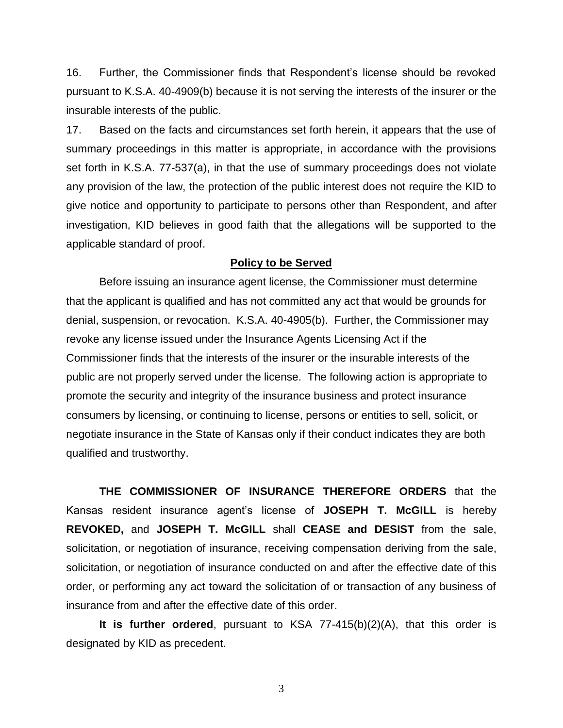16. Further, the Commissioner finds that Respondent's license should be revoked pursuant to K.S.A. 40-4909(b) because it is not serving the interests of the insurer or the insurable interests of the public.

17. Based on the facts and circumstances set forth herein, it appears that the use of summary proceedings in this matter is appropriate, in accordance with the provisions set forth in K.S.A. 77-537(a), in that the use of summary proceedings does not violate any provision of the law, the protection of the public interest does not require the KID to give notice and opportunity to participate to persons other than Respondent, and after investigation, KID believes in good faith that the allegations will be supported to the applicable standard of proof.

#### **Policy to be Served**

Before issuing an insurance agent license, the Commissioner must determine that the applicant is qualified and has not committed any act that would be grounds for denial, suspension, or revocation. K.S.A. 40-4905(b). Further, the Commissioner may revoke any license issued under the Insurance Agents Licensing Act if the Commissioner finds that the interests of the insurer or the insurable interests of the public are not properly served under the license. The following action is appropriate to promote the security and integrity of the insurance business and protect insurance consumers by licensing, or continuing to license, persons or entities to sell, solicit, or negotiate insurance in the State of Kansas only if their conduct indicates they are both qualified and trustworthy.

**THE COMMISSIONER OF INSURANCE THEREFORE ORDERS** that the Kansas resident insurance agent's license of **JOSEPH T. McGILL** is hereby **REVOKED,** and **JOSEPH T. McGILL** shall **CEASE and DESIST** from the sale, solicitation, or negotiation of insurance, receiving compensation deriving from the sale, solicitation, or negotiation of insurance conducted on and after the effective date of this order, or performing any act toward the solicitation of or transaction of any business of insurance from and after the effective date of this order.

**It is further ordered**, pursuant to KSA 77-415(b)(2)(A), that this order is designated by KID as precedent.

3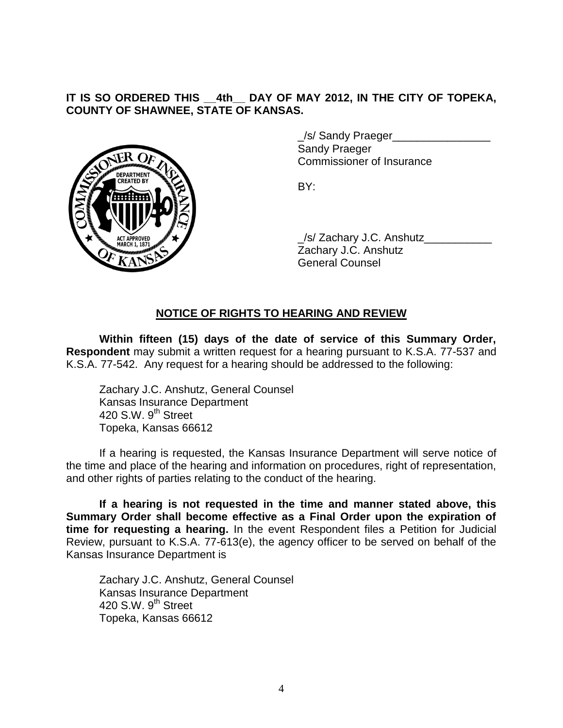#### **IT IS SO ORDERED THIS \_\_4th\_\_ DAY OF MAY 2012, IN THE CITY OF TOPEKA, COUNTY OF SHAWNEE, STATE OF KANSAS.**



\_/s/ Sandy Praeger\_\_\_\_\_\_\_\_\_\_\_\_\_\_\_\_ Sandy Praeger Commissioner of Insurance

BY:

\_/s/ Zachary J.C. Anshutz\_\_\_\_\_\_\_\_\_\_\_ Zachary J.C. Anshutz General Counsel

## **NOTICE OF RIGHTS TO HEARING AND REVIEW**

**Within fifteen (15) days of the date of service of this Summary Order, Respondent** may submit a written request for a hearing pursuant to K.S.A. 77-537 and K.S.A. 77-542. Any request for a hearing should be addressed to the following:

Zachary J.C. Anshutz, General Counsel Kansas Insurance Department 420 S.W.  $9<sup>th</sup>$  Street Topeka, Kansas 66612

If a hearing is requested, the Kansas Insurance Department will serve notice of the time and place of the hearing and information on procedures, right of representation, and other rights of parties relating to the conduct of the hearing.

**If a hearing is not requested in the time and manner stated above, this Summary Order shall become effective as a Final Order upon the expiration of time for requesting a hearing.** In the event Respondent files a Petition for Judicial Review, pursuant to K.S.A. 77-613(e), the agency officer to be served on behalf of the Kansas Insurance Department is

Zachary J.C. Anshutz, General Counsel Kansas Insurance Department 420 S.W. 9<sup>th</sup> Street Topeka, Kansas 66612